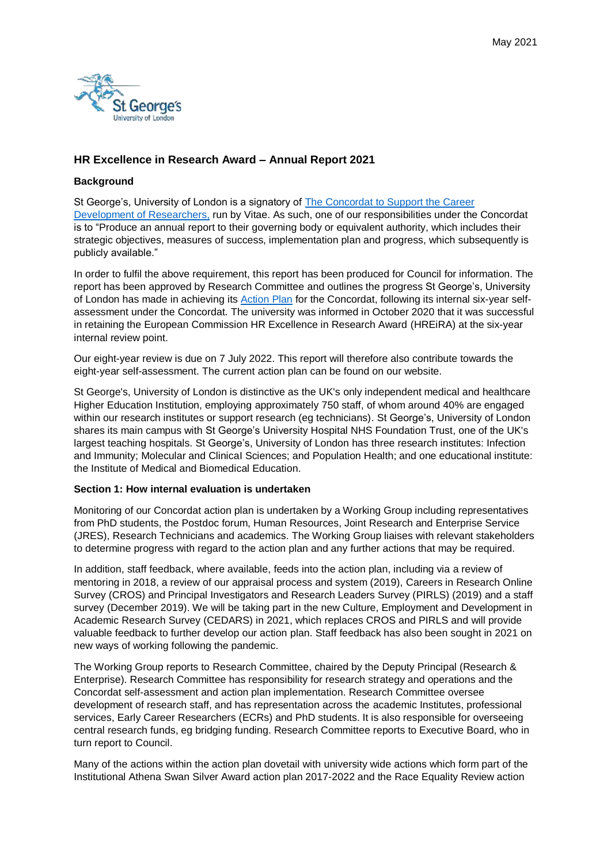

# **HR Excellence in Research Award – Annual Report 2021**

### **Background**

St George's, University of London is a signatory of **The Concordat to Support the Career** [Development of Researchers,](https://www.vitae.ac.uk/policy/concordat) run by Vitae. As such, one of our responsibilities under the Concordat is to "Produce an annual report to their governing body or equivalent authority, which includes their strategic objectives, measures of success, implementation plan and progress, which subsequently is publicly available."

In order to fulfil the above requirement, this report has been produced for Council for information. The report has been approved by Research Committee and outlines the progress St George's, University of London has made in achieving its [Action Plan](https://www.sgul.ac.uk/about/our-professional-services/staff-development/hr-excellence-in-research) for the Concordat, following its internal six-year selfassessment under the Concordat. The university was informed in October 2020 that it was successful in retaining the European Commission HR Excellence in Research Award (HREiRA) at the six-year internal review point.

Our eight-year review is due on 7 July 2022. This report will therefore also contribute towards the eight-year self-assessment. The current action plan can be found on our website.

St George's, University of London is distinctive as the UK's only independent medical and healthcare Higher Education Institution, employing approximately 750 staff, of whom around 40% are engaged within our research institutes or support research (eg technicians). St George's, University of London shares its main campus with St George's University Hospital NHS Foundation Trust, one of the UK's largest teaching hospitals. St George's, University of London has three research institutes: Infection and Immunity; Molecular and ClinicaI Sciences; and Population Health; and one educational institute: the Institute of Medical and Biomedical Education.

# **Section 1: How internal evaluation is undertaken**

Monitoring of our Concordat action plan is undertaken by a Working Group including representatives from PhD students, the Postdoc forum, Human Resources, Joint Research and Enterprise Service (JRES), Research Technicians and academics. The Working Group liaises with relevant stakeholders to determine progress with regard to the action plan and any further actions that may be required.

In addition, staff feedback, where available, feeds into the action plan, including via a review of mentoring in 2018, a review of our appraisal process and system (2019), Careers in Research Online Survey (CROS) and Principal Investigators and Research Leaders Survey (PIRLS) (2019) and a staff survey (December 2019). We will be taking part in the new Culture, Employment and Development in Academic Research Survey (CEDARS) in 2021, which replaces CROS and PIRLS and will provide valuable feedback to further develop our action plan. Staff feedback has also been sought in 2021 on new ways of working following the pandemic.

The Working Group reports to Research Committee, chaired by the Deputy Principal (Research & Enterprise). Research Committee has responsibility for research strategy and operations and the Concordat self-assessment and action plan implementation. Research Committee oversee development of research staff, and has representation across the academic Institutes, professional services, Early Career Researchers (ECRs) and PhD students. It is also responsible for overseeing central research funds, eg bridging funding. Research Committee reports to Executive Board, who in turn report to Council.

Many of the actions within the action plan dovetail with university wide actions which form part of the Institutional Athena Swan Silver Award action plan 2017-2022 and the Race Equality Review action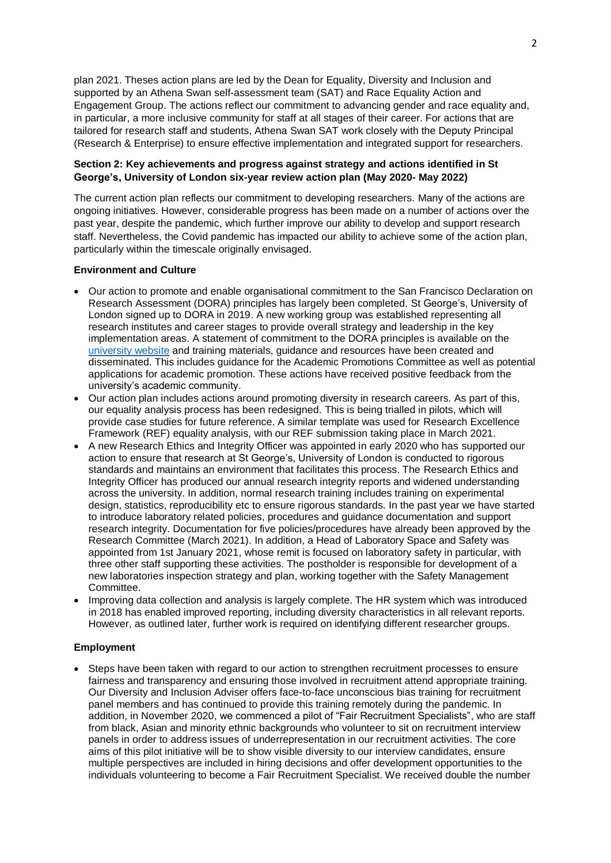plan 2021. Theses action plans are led by the Dean for Equality, Diversity and Inclusion and supported by an Athena Swan self-assessment team (SAT) and Race Equality Action and Engagement Group. The actions reflect our commitment to advancing gender and race equality and, in particular, a more inclusive community for staff at all stages of their career. For actions that are tailored for research staff and students, Athena Swan SAT work closely with the Deputy Principal (Research & Enterprise) to ensure effective implementation and integrated support for researchers.

# **Section 2: Key achievements and progress against strategy and actions identified in St George's, University of London six-year review action plan (May 2020- May 2022)**

The current action plan reflects our commitment to developing researchers. Many of the actions are ongoing initiatives. However, considerable progress has been made on a number of actions over the past year, despite the pandemic, which further improve our ability to develop and support research staff. Nevertheless, the Covid pandemic has impacted our ability to achieve some of the action plan, particularly within the timescale originally envisaged.

#### **Environment and Culture**

- Our action to promote and enable organisational commitment to the San Francisco Declaration on Research Assessment (DORA) principles has largely been completed. St George's, University of London signed up to DORA in 2019. A new working group was established representing all research institutes and career stages to provide overall strategy and leadership in the key implementation areas. A statement of commitment to the DORA principles is available on the [university website](https://www.sgul.ac.uk/research/research-environment/responsible-research-assessment) and training materials, guidance and resources have been created and disseminated. This includes guidance for the Academic Promotions Committee as well as potential applications for academic promotion. These actions have received positive feedback from the university's academic community.
- Our action plan includes actions around promoting diversity in research careers. As part of this, our equality analysis process has been redesigned. This is being trialled in pilots, which will provide case studies for future reference. A similar template was used for Research Excellence Framework (REF) equality analysis, with our REF submission taking place in March 2021.
- A new Research Ethics and Integrity Officer was appointed in early 2020 who has supported our action to ensure that research at St George's, University of London is conducted to rigorous standards and maintains an environment that facilitates this process. The Research Ethics and Integrity Officer has produced our annual research integrity reports and widened understanding across the university. In addition, normal research training includes training on experimental design, statistics, reproducibility etc to ensure rigorous standards. In the past year we have started to introduce laboratory related policies, procedures and guidance documentation and support research integrity. Documentation for five policies/procedures have already been approved by the Research Committee (March 2021). In addition, a Head of Laboratory Space and Safety was appointed from 1st January 2021, whose remit is focused on laboratory safety in particular, with three other staff supporting these activities. The postholder is responsible for development of a new laboratories inspection strategy and plan, working together with the Safety Management Committee.
- Improving data collection and analysis is largely complete. The HR system which was introduced in 2018 has enabled improved reporting, including diversity characteristics in all relevant reports. However, as outlined later, further work is required on identifying different researcher groups.

#### **Employment**

• Steps have been taken with regard to our action to strengthen recruitment processes to ensure fairness and transparency and ensuring those involved in recruitment attend appropriate training. Our Diversity and Inclusion Adviser offers face-to-face unconscious bias training for recruitment panel members and has continued to provide this training remotely during the pandemic. In addition, in November 2020, we commenced a pilot of "Fair Recruitment Specialists", who are staff from black, Asian and minority ethnic backgrounds who volunteer to sit on recruitment interview panels in order to address issues of underrepresentation in our recruitment activities. The core aims of this pilot initiative will be to show visible diversity to our interview candidates, ensure multiple perspectives are included in hiring decisions and offer development opportunities to the individuals volunteering to become a Fair Recruitment Specialist. We received double the number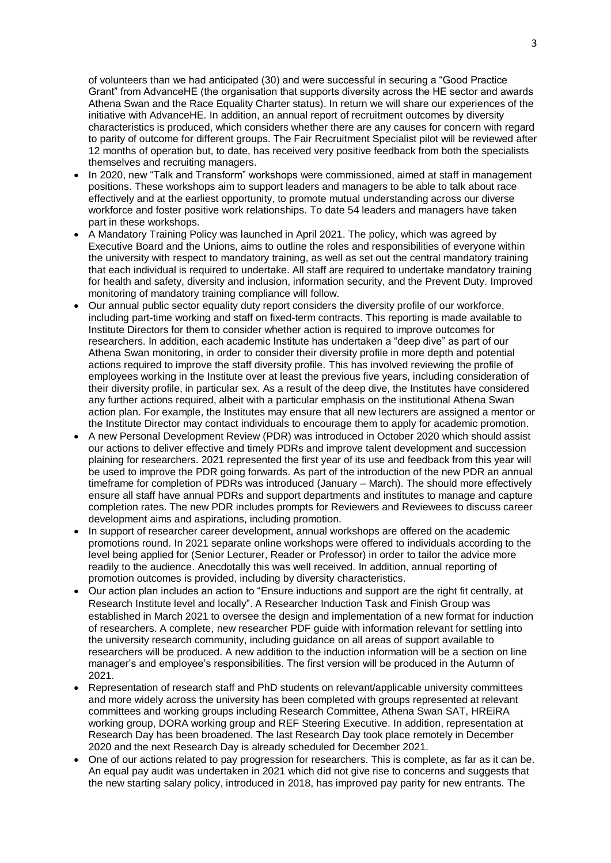of volunteers than we had anticipated (30) and were successful in securing a "Good Practice Grant" from AdvanceHE (the organisation that supports diversity across the HE sector and awards Athena Swan and the Race Equality Charter status). In return we will share our experiences of the initiative with AdvanceHE. In addition, an annual report of recruitment outcomes by diversity characteristics is produced, which considers whether there are any causes for concern with regard to parity of outcome for different groups. The Fair Recruitment Specialist pilot will be reviewed after 12 months of operation but, to date, has received very positive feedback from both the specialists themselves and recruiting managers.

- In 2020, new "Talk and Transform" workshops were commissioned, aimed at staff in management positions. These workshops aim to support leaders and managers to be able to talk about race effectively and at the earliest opportunity, to promote mutual understanding across our diverse workforce and foster positive work relationships. To date 54 leaders and managers have taken part in these workshops.
- A Mandatory Training Policy was launched in April 2021. The policy, which was agreed by Executive Board and the Unions, aims to outline the roles and responsibilities of everyone within the university with respect to mandatory training, as well as set out the central mandatory training that each individual is required to undertake. All staff are required to undertake mandatory training for health and safety, diversity and inclusion, information security, and the Prevent Duty. Improved monitoring of mandatory training compliance will follow.
- Our annual public sector equality duty report considers the diversity profile of our workforce, including part-time working and staff on fixed-term contracts. This reporting is made available to Institute Directors for them to consider whether action is required to improve outcomes for researchers. In addition, each academic Institute has undertaken a "deep dive" as part of our Athena Swan monitoring, in order to consider their diversity profile in more depth and potential actions required to improve the staff diversity profile. This has involved reviewing the profile of employees working in the Institute over at least the previous five years, including consideration of their diversity profile, in particular sex. As a result of the deep dive, the Institutes have considered any further actions required, albeit with a particular emphasis on the institutional Athena Swan action plan. For example, the Institutes may ensure that all new lecturers are assigned a mentor or the Institute Director may contact individuals to encourage them to apply for academic promotion.
- A new Personal Development Review (PDR) was introduced in October 2020 which should assist our actions to deliver effective and timely PDRs and improve talent development and succession plaining for researchers. 2021 represented the first year of its use and feedback from this year will be used to improve the PDR going forwards. As part of the introduction of the new PDR an annual timeframe for completion of PDRs was introduced (January – March). The should more effectively ensure all staff have annual PDRs and support departments and institutes to manage and capture completion rates. The new PDR includes prompts for Reviewers and Reviewees to discuss career development aims and aspirations, including promotion.
- In support of researcher career development, annual workshops are offered on the academic promotions round. In 2021 separate online workshops were offered to individuals according to the level being applied for (Senior Lecturer, Reader or Professor) in order to tailor the advice more readily to the audience. Anecdotally this was well received. In addition, annual reporting of promotion outcomes is provided, including by diversity characteristics.
- Our action plan includes an action to "Ensure inductions and support are the right fit centrally, at Research Institute level and locally". A Researcher Induction Task and Finish Group was established in March 2021 to oversee the design and implementation of a new format for induction of researchers. A complete, new researcher PDF guide with information relevant for settling into the university research community, including guidance on all areas of support available to researchers will be produced. A new addition to the induction information will be a section on line manager's and employee's responsibilities. The first version will be produced in the Autumn of 2021.
- Representation of research staff and PhD students on relevant/applicable university committees and more widely across the university has been completed with groups represented at relevant committees and working groups including Research Committee, Athena Swan SAT, HREiRA working group, DORA working group and REF Steering Executive. In addition, representation at Research Day has been broadened. The last Research Day took place remotely in December 2020 and the next Research Day is already scheduled for December 2021.
- One of our actions related to pay progression for researchers. This is complete, as far as it can be. An equal pay audit was undertaken in 2021 which did not give rise to concerns and suggests that the new starting salary policy, introduced in 2018, has improved pay parity for new entrants. The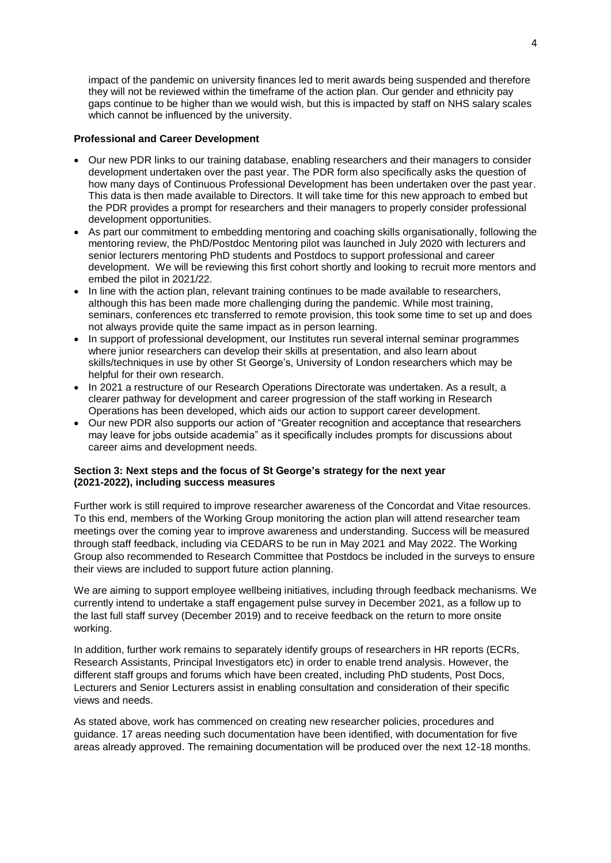impact of the pandemic on university finances led to merit awards being suspended and therefore they will not be reviewed within the timeframe of the action plan. Our gender and ethnicity pay gaps continue to be higher than we would wish, but this is impacted by staff on NHS salary scales which cannot be influenced by the university.

# **Professional and Career Development**

- Our new PDR links to our training database, enabling researchers and their managers to consider development undertaken over the past year. The PDR form also specifically asks the question of how many days of Continuous Professional Development has been undertaken over the past year. This data is then made available to Directors. It will take time for this new approach to embed but the PDR provides a prompt for researchers and their managers to properly consider professional development opportunities.
- As part our commitment to embedding mentoring and coaching skills organisationally, following the mentoring review, the PhD/Postdoc Mentoring pilot was launched in July 2020 with lecturers and senior lecturers mentoring PhD students and Postdocs to support professional and career development. We will be reviewing this first cohort shortly and looking to recruit more mentors and embed the pilot in 2021/22.
- In line with the action plan, relevant training continues to be made available to researchers, although this has been made more challenging during the pandemic. While most training, seminars, conferences etc transferred to remote provision, this took some time to set up and does not always provide quite the same impact as in person learning.
- In support of professional development, our Institutes run several internal seminar programmes where junior researchers can develop their skills at presentation, and also learn about skills/techniques in use by other St George's, University of London researchers which may be helpful for their own research.
- In 2021 a restructure of our Research Operations Directorate was undertaken. As a result, a clearer pathway for development and career progression of the staff working in Research Operations has been developed, which aids our action to support career development.
- Our new PDR also supports our action of "Greater recognition and acceptance that researchers may leave for jobs outside academia" as it specifically includes prompts for discussions about career aims and development needs.

### **Section 3: Next steps and the focus of St George's strategy for the next year (2021-2022), including success measures**

Further work is still required to improve researcher awareness of the Concordat and Vitae resources. To this end, members of the Working Group monitoring the action plan will attend researcher team meetings over the coming year to improve awareness and understanding. Success will be measured through staff feedback, including via CEDARS to be run in May 2021 and May 2022. The Working Group also recommended to Research Committee that Postdocs be included in the surveys to ensure their views are included to support future action planning.

We are aiming to support employee wellbeing initiatives, including through feedback mechanisms. We currently intend to undertake a staff engagement pulse survey in December 2021, as a follow up to the last full staff survey (December 2019) and to receive feedback on the return to more onsite working.

In addition, further work remains to separately identify groups of researchers in HR reports (ECRs, Research Assistants, Principal Investigators etc) in order to enable trend analysis. However, the different staff groups and forums which have been created, including PhD students, Post Docs, Lecturers and Senior Lecturers assist in enabling consultation and consideration of their specific views and needs.

As stated above, work has commenced on creating new researcher policies, procedures and guidance. 17 areas needing such documentation have been identified, with documentation for five areas already approved. The remaining documentation will be produced over the next 12-18 months.